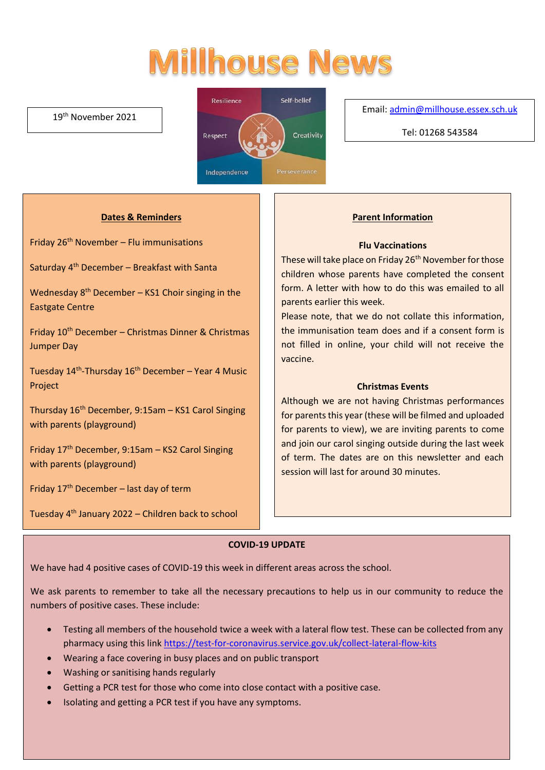# **Millhouse News**

#### 19th November 2021



#### Email[: admin@millhouse.essex.sch.uk](mailto:admin@millhouse.essex.sch.uk)

Tel: 01268 543584

#### **Dates & Reminders**

Friday  $26<sup>th</sup>$  November – Flu immunisations

Saturday  $4<sup>th</sup>$  December – Breakfast with Santa

Wednesday 8<sup>th</sup> December - KS1 Choir singing in the Eastgate Centre

Friday 10th December – Christmas Dinner & Christmas Jumper Day

Tuesday 14<sup>th</sup>-Thursday 16<sup>th</sup> December – Year 4 Music Project

Thursday 16th December, 9:15am – KS1 Carol Singing with parents (playground)

Friday 17th December, 9:15am – KS2 Carol Singing with parents (playground)

Friday  $17<sup>th</sup>$  December – last day of term

Tuesday 4th January 2022 – Children back to school

#### **Parent Information**

#### **Flu Vaccinations**

These will take place on Friday 26<sup>th</sup> November for those children whose parents have completed the consent form. A letter with how to do this was emailed to all parents earlier this week.

Please note, that we do not collate this information, the immunisation team does and if a consent form is not filled in online, your child will not receive the vaccine.

#### **Christmas Events**

Although we are not having Christmas performances for parents this year (these will be filmed and uploaded for parents to view), we are inviting parents to come and join our carol singing outside during the last week of term. The dates are on this newsletter and each session will last for around 30 minutes.

#### **COVID-19 UPDATE**

We have had 4 positive cases of COVID-19 this week in different areas across the school.

We ask parents to remember to take all the necessary precautions to help us in our community to reduce the numbers of positive cases. These include:

- Testing all members of the household twice a week with a lateral flow test. These can be collected from any pharmacy using this link<https://test-for-coronavirus.service.gov.uk/collect-lateral-flow-kits>
- Wearing a face covering in busy places and on public transport
- Washing or sanitising hands regularly
- Getting a PCR test for those who come into close contact with a positive case.
- Isolating and getting a PCR test if you have any symptoms.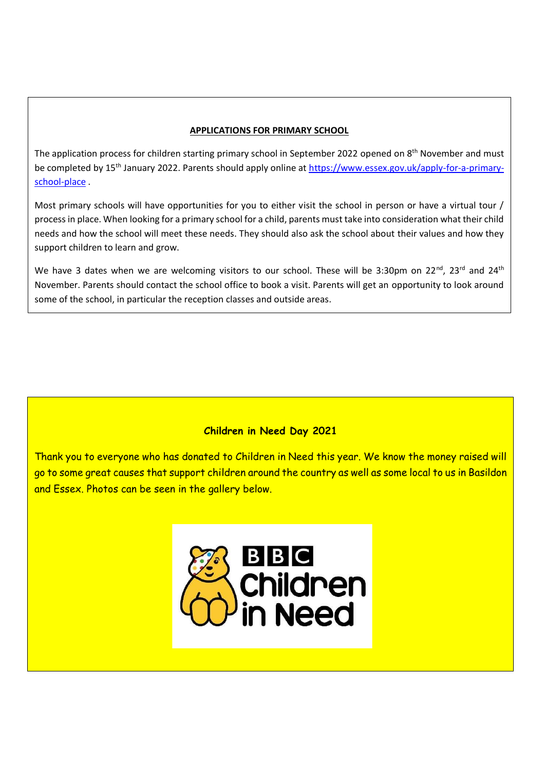#### **APPLICATIONS FOR PRIMARY SCHOOL**

The application process for children starting primary school in September 2022 opened on 8<sup>th</sup> November and must be completed by 15<sup>th</sup> January 2022. Parents should apply online at [https://www.essex.gov.uk/apply-for-a-primary](https://www.essex.gov.uk/apply-for-a-primary-school-place)[school-place](https://www.essex.gov.uk/apply-for-a-primary-school-place) .

Most primary schools will have opportunities for you to either visit the school in person or have a virtual tour / process in place. When looking for a primary school for a child, parents must take into consideration what their child needs and how the school will meet these needs. They should also ask the school about their values and how they support children to learn and grow.

We have 3 dates when we are welcoming visitors to our school. These will be 3:30pm on 22<sup>nd</sup>, 23<sup>rd</sup> and 24<sup>th</sup> November. Parents should contact the school office to book a visit. Parents will get an opportunity to look around some of the school, in particular the reception classes and outside areas.

#### **Children in Need Day 2021**

Thank you to everyone who has donated to Children in Need this year. We know the money raised will go to some great causes that support children around the country as well as some local to us in Basildon and Essex. Photos can be seen in the gallery below.

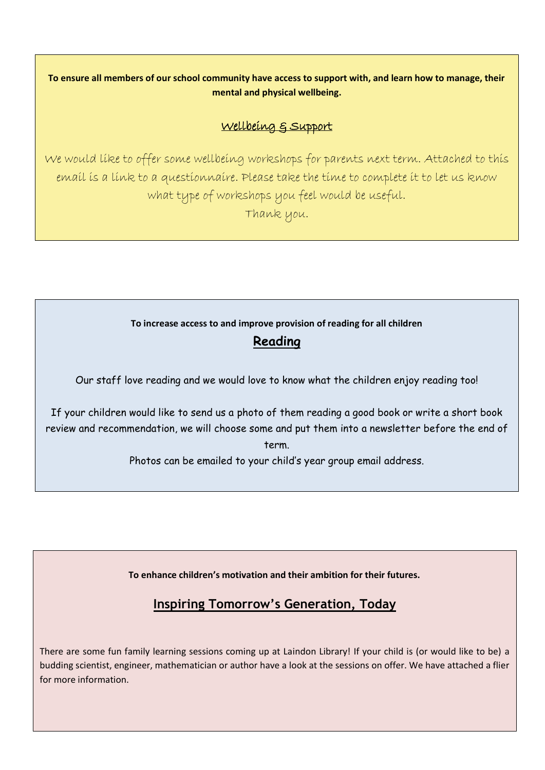**To ensure all members of our school community have access to support with, and learn how to manage, their mental and physical wellbeing.**

## Wellbeing & Support

We would like to offer some wellbeing workshops for parents next term. Attached to this email is a link to a questionnaire. Please take the time to complete it to let us know what type of workshops you feel would be useful.

Thank you.

### **To increase access to and improve provision of reading for all children**

# **Reading**

Our staff love reading and we would love to know what the children enjoy reading too!

If your children would like to send us a photo of them reading a good book or write a short book review and recommendation, we will choose some and put them into a newsletter before the end of term.

Photos can be emailed to your child's year group email address.

**To enhance children's motivation and their ambition for their futures.** 

# **Inspiring Tomorrow's Generation, Today**

There are some fun family learning sessions coming up at Laindon Library! If your child is (or would like to be) a budding scientist, engineer, mathematician or author have a look at the sessions on offer. We have attached a flier for more information.